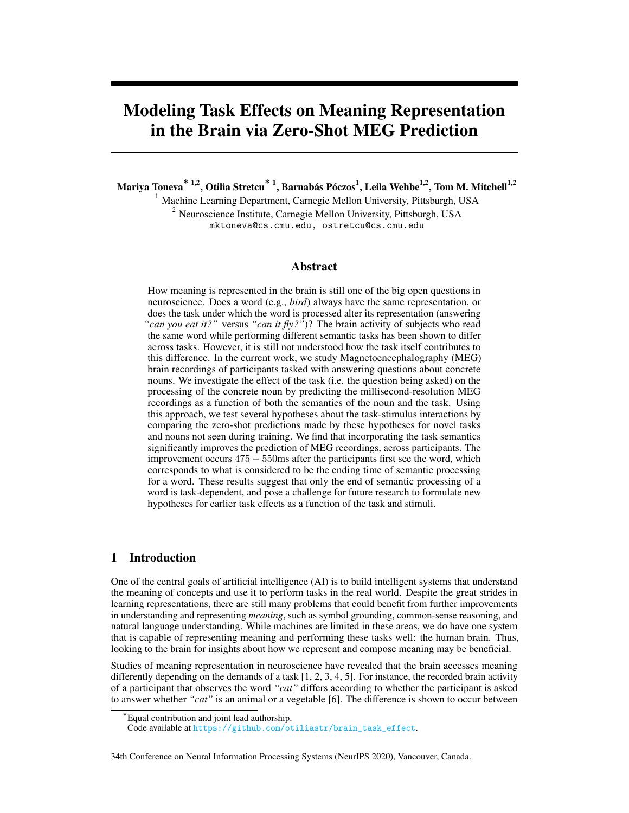# Modeling Task Effects on Meaning Representation in the Brain via Zero-Shot MEG Prediction

Mariya Toneva $^{\ast}$  <sup>1,2</sup>, Otilia Stretcu $^{\ast}$  <sup>1</sup>, Barnabás Póczos $^{1}$ , Leila Wehbe $^{1,2}$ , Tom M. Mitchell $^{1,2}$ 

<sup>1</sup> Machine Learning Department, Carnegie Mellon University, Pittsburgh, USA  $2$  Neuroscience Institute, Carnegie Mellon University, Pittsburgh, USA mktoneva@cs.cmu.edu, ostretcu@cs.cmu.edu

# Abstract

How meaning is represented in the brain is still one of the big open questions in neuroscience. Does a word (e.g., *bird*) always have the same representation, or does the task under which the word is processed alter its representation (answering *"can you eat it?"* versus *"can it fly?"*)? The brain activity of subjects who read the same word while performing different semantic tasks has been shown to differ across tasks. However, it is still not understood how the task itself contributes to this difference. In the current work, we study Magnetoencephalography (MEG) brain recordings of participants tasked with answering questions about concrete nouns. We investigate the effect of the task (i.e. the question being asked) on the processing of the concrete noun by predicting the millisecond-resolution MEG recordings as a function of both the semantics of the noun and the task. Using this approach, we test several hypotheses about the task-stimulus interactions by comparing the zero-shot predictions made by these hypotheses for novel tasks and nouns not seen during training. We find that incorporating the task semantics significantly improves the prediction of MEG recordings, across participants. The improvement occurs 475 − 550ms after the participants first see the word, which corresponds to what is considered to be the ending time of semantic processing for a word. These results suggest that only the end of semantic processing of a word is task-dependent, and pose a challenge for future research to formulate new hypotheses for earlier task effects as a function of the task and stimuli.

# 1 Introduction

One of the central goals of artificial intelligence (AI) is to build intelligent systems that understand the meaning of concepts and use it to perform tasks in the real world. Despite the great strides in learning representations, there are still many problems that could benefit from further improvements in understanding and representing *meaning*, such as symbol grounding, common-sense reasoning, and natural language understanding. While machines are limited in these areas, we do have one system that is capable of representing meaning and performing these tasks well: the human brain. Thus, looking to the brain for insights about how we represent and compose meaning may be beneficial.

Studies of meaning representation in neuroscience have revealed that the brain accesses meaning differently depending on the demands of a task [\[1,](#page-9-0) [2,](#page-9-1) [3,](#page-9-2) [4,](#page-9-3) [5\]](#page-9-4). For instance, the recorded brain activity of a participant that observes the word *"cat"* differs according to whether the participant is asked to answer whether *"cat"* is an animal or a vegetable [\[6\]](#page-9-5). The difference is shown to occur between

<sup>∗</sup> Equal contribution and joint lead authorship.

Code available at [https://github.com/otiliastr/brain\\_task\\_effect](https://github.com/otiliastr/brain_task_effect).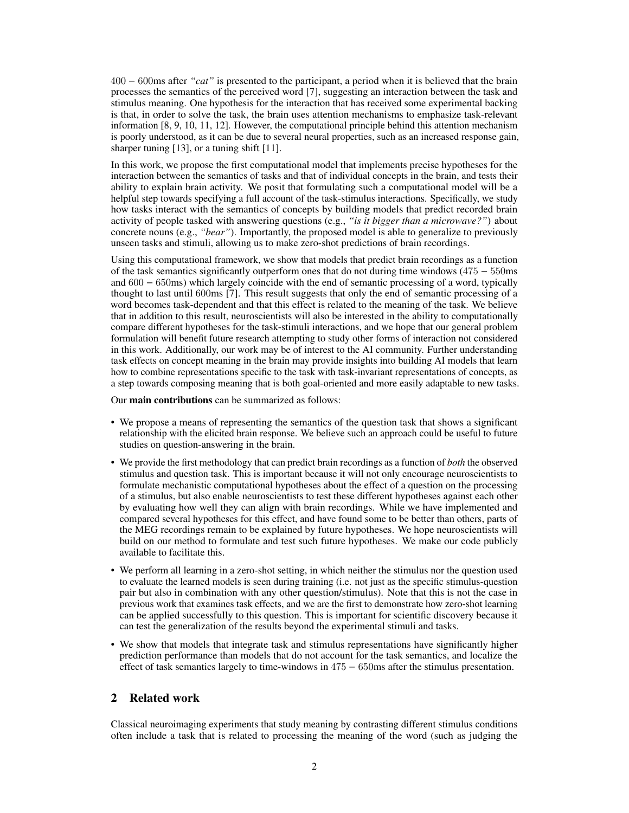400 − 600ms after *"cat"* is presented to the participant, a period when it is believed that the brain processes the semantics of the perceived word [\[7\]](#page-9-6), suggesting an interaction between the task and stimulus meaning. One hypothesis for the interaction that has received some experimental backing is that, in order to solve the task, the brain uses attention mechanisms to emphasize task-relevant information [\[8,](#page-9-7) [9,](#page-9-8) [10,](#page-9-9) [11,](#page-9-10) [12\]](#page-9-11). However, the computational principle behind this attention mechanism is poorly understood, as it can be due to several neural properties, such as an increased response gain, sharper tuning [\[13\]](#page-9-12), or a tuning shift [\[11\]](#page-9-10).

In this work, we propose the first computational model that implements precise hypotheses for the interaction between the semantics of tasks and that of individual concepts in the brain, and tests their ability to explain brain activity. We posit that formulating such a computational model will be a helpful step towards specifying a full account of the task-stimulus interactions. Specifically, we study how tasks interact with the semantics of concepts by building models that predict recorded brain activity of people tasked with answering questions (e.g., *"is it bigger than a microwave?"*) about concrete nouns (e.g., *"bear"*). Importantly, the proposed model is able to generalize to previously unseen tasks and stimuli, allowing us to make zero-shot predictions of brain recordings.

Using this computational framework, we show that models that predict brain recordings as a function of the task semantics significantly outperform ones that do not during time windows (475 − 550ms and 600 − 650ms) which largely coincide with the end of semantic processing of a word, typically thought to last until 600ms [\[7\]](#page-9-6). This result suggests that only the end of semantic processing of a word becomes task-dependent and that this effect is related to the meaning of the task. We believe that in addition to this result, neuroscientists will also be interested in the ability to computationally compare different hypotheses for the task-stimuli interactions, and we hope that our general problem formulation will benefit future research attempting to study other forms of interaction not considered in this work. Additionally, our work may be of interest to the AI community. Further understanding task effects on concept meaning in the brain may provide insights into building AI models that learn how to combine representations specific to the task with task-invariant representations of concepts, as a step towards composing meaning that is both goal-oriented and more easily adaptable to new tasks.

Our main contributions can be summarized as follows:

- We propose a means of representing the semantics of the question task that shows a significant relationship with the elicited brain response. We believe such an approach could be useful to future studies on question-answering in the brain.
- We provide the first methodology that can predict brain recordings as a function of *both* the observed stimulus and question task. This is important because it will not only encourage neuroscientists to formulate mechanistic computational hypotheses about the effect of a question on the processing of a stimulus, but also enable neuroscientists to test these different hypotheses against each other by evaluating how well they can align with brain recordings. While we have implemented and compared several hypotheses for this effect, and have found some to be better than others, parts of the MEG recordings remain to be explained by future hypotheses. We hope neuroscientists will build on our method to formulate and test such future hypotheses. We make our code publicly available to facilitate this.
- We perform all learning in a zero-shot setting, in which neither the stimulus nor the question used to evaluate the learned models is seen during training (i.e. not just as the specific stimulus-question pair but also in combination with any other question/stimulus). Note that this is not the case in previous work that examines task effects, and we are the first to demonstrate how zero-shot learning can be applied successfully to this question. This is important for scientific discovery because it can test the generalization of the results beyond the experimental stimuli and tasks.
- We show that models that integrate task and stimulus representations have significantly higher prediction performance than models that do not account for the task semantics, and localize the effect of task semantics largely to time-windows in  $475 - 650$  ms after the stimulus presentation.

# 2 Related work

Classical neuroimaging experiments that study meaning by contrasting different stimulus conditions often include a task that is related to processing the meaning of the word (such as judging the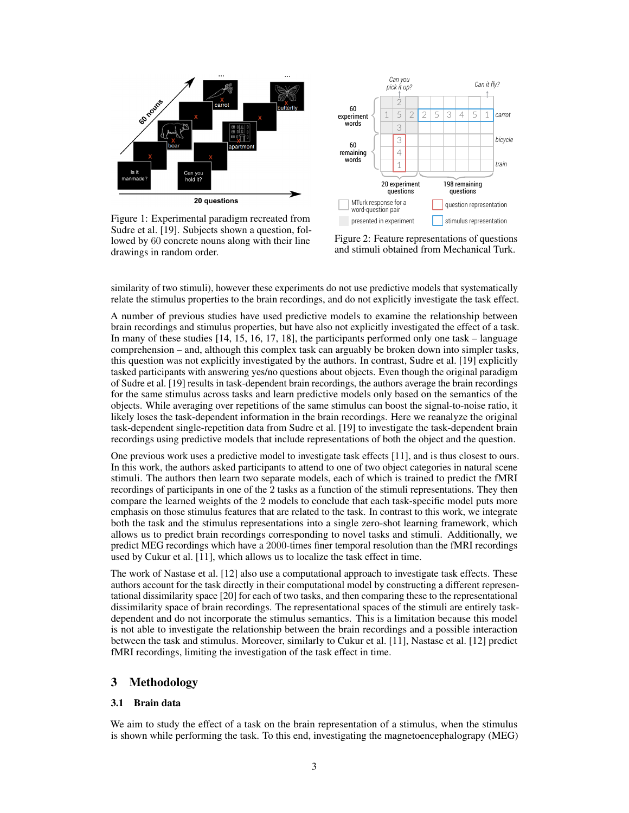<span id="page-2-0"></span>

Figure 1: Experimental paradigm recreated from Sudre et al. [\[19\]](#page-10-0). Subjects shown a question, followed by 60 concrete nouns along with their line drawings in random order.



Figure 2: Feature representations of questions and stimuli obtained from Mechanical Turk.

similarity of two stimuli), however these experiments do not use predictive models that systematically relate the stimulus properties to the brain recordings, and do not explicitly investigate the task effect.

A number of previous studies have used predictive models to examine the relationship between brain recordings and stimulus properties, but have also not explicitly investigated the effect of a task. In many of these studies [\[14,](#page-10-1) [15,](#page-10-2) [16,](#page-10-3) [17,](#page-10-4) [18\]](#page-10-5), the participants performed only one task – language comprehension – and, although this complex task can arguably be broken down into simpler tasks, this question was not explicitly investigated by the authors. In contrast, Sudre et al. [\[19\]](#page-10-0) explicitly tasked participants with answering yes/no questions about objects. Even though the original paradigm of Sudre et al. [\[19\]](#page-10-0) results in task-dependent brain recordings, the authors average the brain recordings for the same stimulus across tasks and learn predictive models only based on the semantics of the objects. While averaging over repetitions of the same stimulus can boost the signal-to-noise ratio, it likely loses the task-dependent information in the brain recordings. Here we reanalyze the original task-dependent single-repetition data from Sudre et al. [\[19\]](#page-10-0) to investigate the task-dependent brain recordings using predictive models that include representations of both the object and the question.

One previous work uses a predictive model to investigate task effects [\[11\]](#page-9-10), and is thus closest to ours. In this work, the authors asked participants to attend to one of two object categories in natural scene stimuli. The authors then learn two separate models, each of which is trained to predict the fMRI recordings of participants in one of the 2 tasks as a function of the stimuli representations. They then compare the learned weights of the 2 models to conclude that each task-specific model puts more emphasis on those stimulus features that are related to the task. In contrast to this work, we integrate both the task and the stimulus representations into a single zero-shot learning framework, which allows us to predict brain recordings corresponding to novel tasks and stimuli. Additionally, we predict MEG recordings which have a 2000-times finer temporal resolution than the fMRI recordings used by Cukur et al. [\[11\]](#page-9-10), which allows us to localize the task effect in time.

The work of Nastase et al. [\[12\]](#page-9-11) also use a computational approach to investigate task effects. These authors account for the task directly in their computational model by constructing a different representational dissimilarity space [\[20\]](#page-10-6) for each of two tasks, and then comparing these to the representational dissimilarity space of brain recordings. The representational spaces of the stimuli are entirely taskdependent and do not incorporate the stimulus semantics. This is a limitation because this model is not able to investigate the relationship between the brain recordings and a possible interaction between the task and stimulus. Moreover, similarly to Cukur et al. [\[11\]](#page-9-10), Nastase et al. [\[12\]](#page-9-11) predict fMRI recordings, limiting the investigation of the task effect in time.

# 3 Methodology

## 3.1 Brain data

We aim to study the effect of a task on the brain representation of a stimulus, when the stimulus is shown while performing the task. To this end, investigating the magnetoencephalograpy (MEG)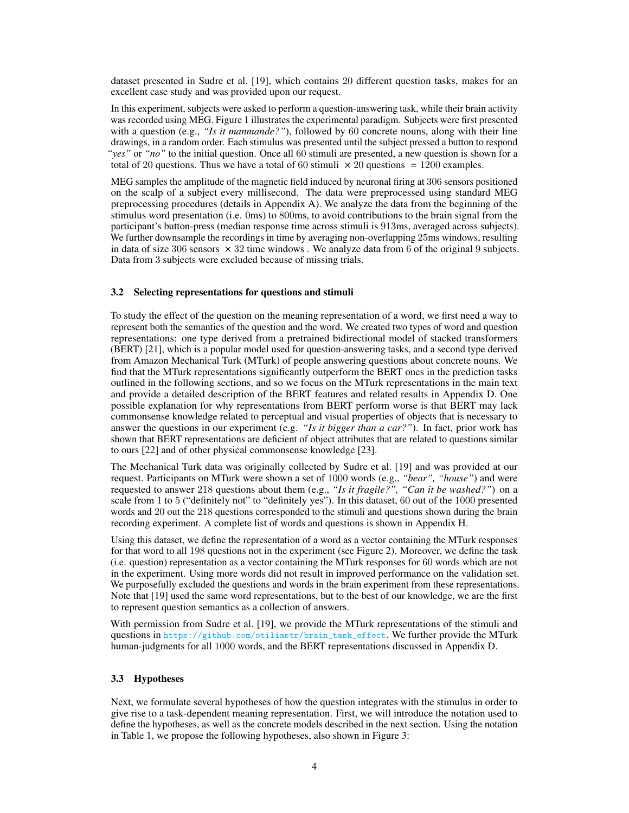dataset presented in Sudre et al. [\[19\]](#page-10-0), which contains 20 different question tasks, makes for an excellent case study and was provided upon our request.

In this experiment, subjects were asked to perform a question-answering task, while their brain activity was recorded using MEG. Figure [1](#page-2-0) illustrates the experimental paradigm. Subjects were first presented with a question (e.g., "Is it manmande?"), followed by 60 concrete nouns, along with their line drawings, in a random order. Each stimulus was presented until the subject pressed a button to respond *"yes"* or *"no"* to the initial question. Once all 60 stimuli are presented, a new question is shown for a total of 20 questions. Thus we have a total of 60 stimuli  $\times$  20 questions = 1200 examples.

MEG samples the amplitude of the magnetic field induced by neuronal firing at 306 sensors positioned on the scalp of a subject every millisecond. The data were preprocessed using standard MEG preprocessing procedures (details in Appendix [A\)](#page--1-0). We analyze the data from the beginning of the stimulus word presentation (i.e. 0ms) to 800ms, to avoid contributions to the brain signal from the participant's button-press (median response time across stimuli is 913ms, averaged across subjects). We further downsample the recordings in time by averaging non-overlapping 25ms windows, resulting in data of size 306 sensors  $\times$  32 time windows. We analyze data from 6 of the original 9 subjects. Data from 3 subjects were excluded because of missing trials.

## <span id="page-3-0"></span>3.2 Selecting representations for questions and stimuli

To study the effect of the question on the meaning representation of a word, we first need a way to represent both the semantics of the question and the word. We created two types of word and question representations: one type derived from a pretrained bidirectional model of stacked transformers (BERT) [\[21\]](#page-10-7), which is a popular model used for question-answering tasks, and a second type derived from Amazon Mechanical Turk (MTurk) of people answering questions about concrete nouns. We find that the MTurk representations significantly outperform the BERT ones in the prediction tasks outlined in the following sections, and so we focus on the MTurk representations in the main text and provide a detailed description of the BERT features and related results in Appendix [D.](#page--1-1) One possible explanation for why representations from BERT perform worse is that BERT may lack commonsense knowledge related to perceptual and visual properties of objects that is necessary to answer the questions in our experiment (e.g. *"Is it bigger than a car?"*). In fact, prior work has shown that BERT representations are deficient of object attributes that are related to questions similar to ours [\[22\]](#page-10-8) and of other physical commonsense knowledge [\[23\]](#page-10-9).

The Mechanical Turk data was originally collected by Sudre et al. [\[19\]](#page-10-0) and was provided at our request. Participants on MTurk were shown a set of 1000 words (e.g., *"bear", "house"*) and were requested to answer 218 questions about them (e.g., *"Is it fragile?", "Can it be washed?"*) on a scale from 1 to 5 ("definitely not" to "definitely yes"). In this dataset, 60 out of the 1000 presented words and 20 out the 218 questions corresponded to the stimuli and questions shown during the brain recording experiment. A complete list of words and questions is shown in Appendix [H.](#page--1-2)

Using this dataset, we define the representation of a word as a vector containing the MTurk responses for that word to all 198 questions not in the experiment (see Figure [2\)](#page-2-0). Moreover, we define the task (i.e. question) representation as a vector containing the MTurk responses for 60 words which are not in the experiment. Using more words did not result in improved performance on the validation set. We purposefully excluded the questions and words in the brain experiment from these representations. Note that [\[19\]](#page-10-0) used the same word representations, but to the best of our knowledge, we are the first to represent question semantics as a collection of answers.

With permission from Sudre et al. [\[19\]](#page-10-0), we provide the MTurk representations of the stimuli and questions in [https://github.com/otiliastr/brain\\_task\\_effect](https://github.com/otiliastr/brain_task_effect). We further provide the MTurk human-judgments for all 1000 words, and the BERT representations discussed in Appendix [D.](#page--1-1)

## 3.3 Hypotheses

Next, we formulate several hypotheses of how the question integrates with the stimulus in order to give rise to a task-dependent meaning representation. First, we will introduce the notation used to define the hypotheses, as well as the concrete models described in the next section. Using the notation in Table [1,](#page-5-0) we propose the following hypotheses, also shown in Figure [3:](#page-4-0)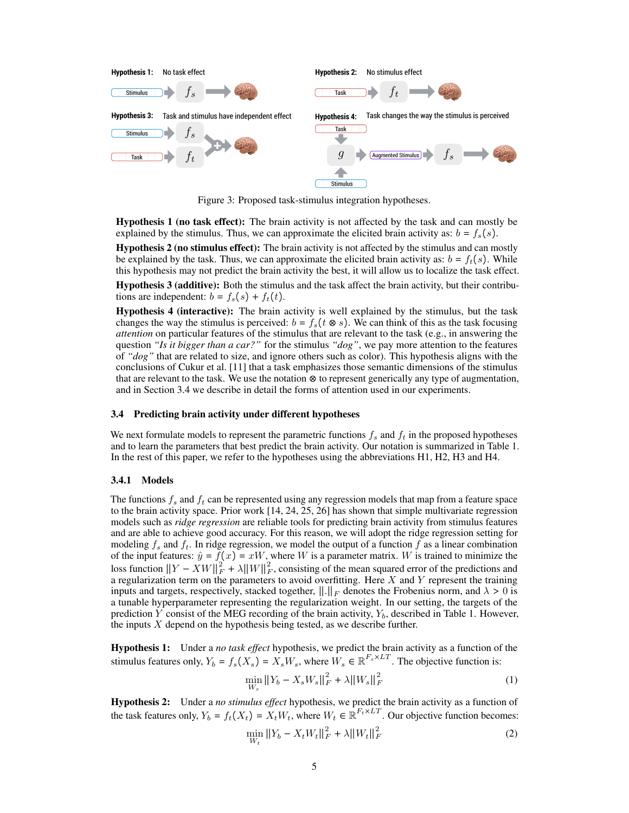<span id="page-4-0"></span>

Figure 3: Proposed task-stimulus integration hypotheses.

Hypothesis 1 (no task effect): The brain activity is not affected by the task and can mostly be explained by the stimulus. Thus, we can approximate the elicited brain activity as:  $b = f_s(s)$ .

Hypothesis 2 (no stimulus effect): The brain activity is not affected by the stimulus and can mostly be explained by the task. Thus, we can approximate the elicited brain activity as:  $b = f_t(s)$ . While this hypothesis may not predict the brain activity the best, it will allow us to localize the task effect.

Hypothesis 3 (additive): Both the stimulus and the task affect the brain activity, but their contributions are independent:  $b = f_s(s) + f_t(t)$ .

Hypothesis 4 (interactive): The brain activity is well explained by the stimulus, but the task changes the way the stimulus is perceived:  $b = f_s(t \otimes s)$ . We can think of this as the task focusing *attention* on particular features of the stimulus that are relevant to the task (e.g., in answering the question *"Is it bigger than a car?"* for the stimulus *"dog"*, we pay more attention to the features of *"dog"* that are related to size, and ignore others such as color). This hypothesis aligns with the conclusions of Cukur et al. [\[11\]](#page-9-10) that a task emphasizes those semantic dimensions of the stimulus that are relevant to the task. We use the notation ⊗ to represent generically any type of augmentation, and in Section [3.4](#page-4-1) we describe in detail the forms of attention used in our experiments.

## <span id="page-4-1"></span>3.4 Predicting brain activity under different hypotheses

We next formulate models to represent the parametric functions  $f_s$  and  $f_t$  in the proposed hypotheses and to learn the parameters that best predict the brain activity. Our notation is summarized in Table [1.](#page-5-0) In the rest of this paper, we refer to the hypotheses using the abbreviations H1, H2, H3 and H4.

## 3.4.1 Models

The functions  $f_s$  and  $f_t$  can be represented using any regression models that map from a feature space to the brain activity space. Prior work [\[14,](#page-10-1) [24,](#page-10-10) [25,](#page-10-11) [26\]](#page-10-12) has shown that simple multivariate regression models such as *ridge regression* are reliable tools for predicting brain activity from stimulus features and are able to achieve good accuracy. For this reason, we will adopt the ridge regression setting for modeling  $f_s$  and  $f_t$ . In ridge regression, we model the output of a function  $f$  as a linear combination of the input features:  $\hat{y} = f(x) = xW$ , where W is a parameter matrix. W is trained to minimize the loss function  $||Y - XW||_F^2 + \lambda ||W||_F^2$ , consisting of the mean squared error of the predictions and a regularization term on the parameters to avoid overfitting. Here  $X$  and  $Y$  represent the training inputs and targets, respectively, stacked together,  $\|\cdot\|_F$  denotes the Frobenius norm, and  $\lambda > 0$  is a tunable hyperparameter representing the regularization weight. In our setting, the targets of the prediction Y consist of the MEG recording of the brain activity,  $Y_b$ , described in Table [1.](#page-5-0) However, the inputs  $X$  depend on the hypothesis being tested, as we describe further.

Hypothesis 1: Under a *no task effect* hypothesis, we predict the brain activity as a function of the stimulus features only,  $Y_b = f_s(X_s) = X_sW_s$ , where  $W_s \in \mathbb{R}^{F_s \times LT}$ . The objective function is:

$$
\min_{W_s} \|Y_b - X_s W_s\|_F^2 + \lambda \|W_s\|_F^2 \tag{1}
$$

Hypothesis 2: Under a *no stimulus effect* hypothesis, we predict the brain activity as a function of the task features only,  $Y_b = f_t(X_t) = X_t W_t$ , where  $W_t \in \mathbb{R}^{F_t \times LT}$ . Our objective function becomes:

$$
\min_{W_t} \|Y_b - X_t W_t\|_F^2 + \lambda \|W_t\|_F^2 \tag{2}
$$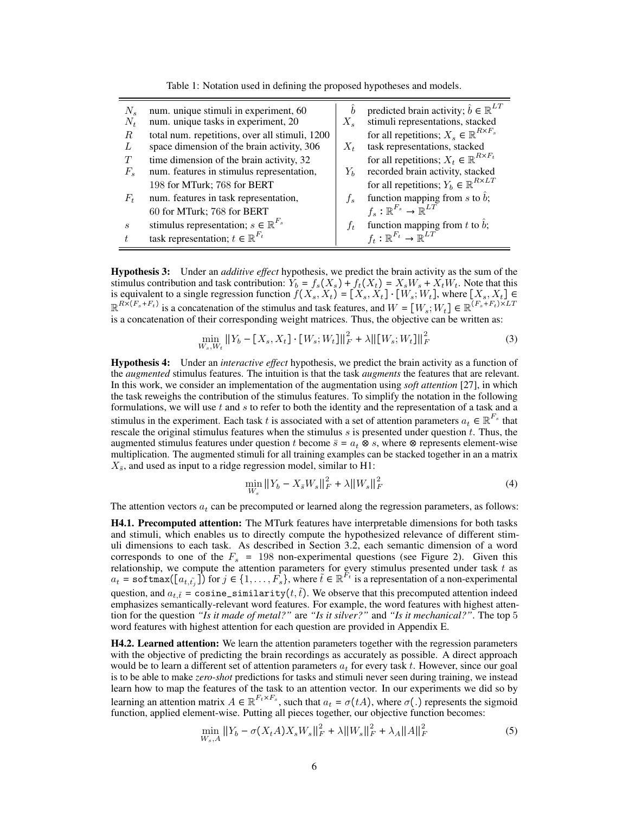<span id="page-5-0"></span>

| $N_{\rm c}$<br>$N_t$        | num. unique stimuli in experiment, 60<br>num. unique tasks in experiment, 20                 | $\boldsymbol{b}$<br>$X_{s}$ | predicted brain activity; $\hat{b} \in \mathbb{R}^{LT}$<br>stimuli representations, stacked  |
|-----------------------------|----------------------------------------------------------------------------------------------|-----------------------------|----------------------------------------------------------------------------------------------|
| R<br>L                      | total num. repetitions, over all stimuli, 1200<br>space dimension of the brain activity, 306 | $X_t$                       | for all repetitions; $X_s \in \mathbb{R}^{R \times F_s}$<br>task representations, stacked    |
| T<br>$F_s$                  | time dimension of the brain activity, 32<br>num. features in stimulus representation,        | $Y_h$                       | for all repetitions; $X_t \in \mathbb{R}^{R \times F_t}$<br>recorded brain activity, stacked |
|                             | 198 for MTurk; 768 for BERT                                                                  |                             | for all repetitions; $Y_b \in \mathbb{R}^{R \times LT}$                                      |
| $F_{t}$                     | num. features in task representation,                                                        | $f_{\rm g}$                 | function mapping from s to $\hat{b}$ ;                                                       |
|                             | 60 for MTurk; 768 for BERT                                                                   |                             | $f_s: \mathbb{R}^{F_s} \to \mathbb{R}^{LT}$                                                  |
| $\mathcal{S}_{\mathcal{S}}$ | stimulus representation; $s \in \mathbb{R}^{F_s}$                                            | $f_{t}$                     | function mapping from t to $\hat{b}$ ;                                                       |
|                             | task representation; $t \in \mathbb{R}^{F_t}$                                                |                             | $f_t: \mathbb{R}^{F_t} \to \mathbb{R}^{LT}$                                                  |

Table 1: Notation used in defining the proposed hypotheses and models.

Hypothesis 3: Under an *additive effect* hypothesis, we predict the brain activity as the sum of the stimulus contribution and task contribution:  $\hat{Y}_b = f_s(X_s) + f_t(X_t) = X_sW_s + X_tW_t$ . Note that this is equivalent to a single regression function  $f(X_s, X_t) = [X_s, X_t] \cdot [W_s, W_t]$ , where  $[X_s, X_t] \in$  $\mathbb{R}^{R\times (F_s + F_t)}$  is a concatenation of the stimulus and task features, and  $W = [W_s; W_t] \in \mathbb{R}^{(F_s + F_t)\times LT}$ is a concatenation of their corresponding weight matrices. Thus, the objective can be written as:

$$
\min_{W_s, W_t} \|Y_b - [X_s, X_t] \cdot [W_s; W_t] \|_F^2 + \lambda \| [W_s; W_t] \|_F^2
$$
\n(3)

Hypothesis 4: Under an *interactive effect* hypothesis, we predict the brain activity as a function of the *augmented* stimulus features. The intuition is that the task *augments* the features that are relevant. In this work, we consider an implementation of the augmentation using *soft attention* [\[27\]](#page-10-13), in which the task reweighs the contribution of the stimulus features. To simplify the notation in the following formulations, we will use  $t$  and  $s$  to refer to both the identity and the representation of a task and a stimulus in the experiment. Each task t is associated with a set of attention parameters  $a_t \in \mathbb{R}^{F_s}$  that rescale the original stimulus features when the stimulus  $s$  is presented under question  $t$ . Thus, the augmented stimulus features under question t become  $\bar{s} = a_t \otimes s$ , where  $\otimes$  represents element-wise multiplication. The augmented stimuli for all training examples can be stacked together in an a matrix  $X_{\overline{s}}$ , and used as input to a ridge regression model, similar to H1:

$$
\min_{W_s} \|Y_b - X_{\bar{s}} W_s\|_F^2 + \lambda \|W_s\|_F^2 \tag{4}
$$

The attention vectors  $a_t$  can be precomputed or learned along the regression parameters, as follows:

H4.1. Precomputed attention: The MTurk features have interpretable dimensions for both tasks and stimuli, which enables us to directly compute the hypothesized relevance of different stimuli dimensions to each task. As described in Section [3.2,](#page-3-0) each semantic dimension of a word corresponds to one of the  $F_s = 198$  non-experimental questions (see Figure [2\)](#page-2-0). Given this relationship, we compute the attention parameters for every stimulus presented under task  $t$  as  $a_t = \text{softmax}([\overline{a_{t,\tilde{t}_j}}])$  for  $j \in \{1,\ldots,F_s\}$ , where  $\tilde{t} \in \mathbb{R}^{F_t}$  is a representation of a non-experimental question, and  $a_{t,\tilde{t}} = \text{cosine\_similarity}(t,\tilde{t})$ . We observe that this precomputed attention indeed emphasizes semantically-relevant word features. For example, the word features with highest attention for the question *"Is it made of metal?"* are *"Is it silver?"* and *"Is it mechanical?"*. The top 5 word features with highest attention for each question are provided in Appendix [E.](#page--1-3)

H4.2. Learned attention: We learn the attention parameters together with the regression parameters with the objective of predicting the brain recordings as accurately as possible. A direct approach would be to learn a different set of attention parameters  $a_t$  for every task t. However, since our goal is to be able to make *zero-shot* predictions for tasks and stimuli never seen during training, we instead learn how to map the features of the task to an attention vector. In our experiments we did so by learning an attention matrix  $A \in \mathbb{R}^{F_t \times F_s}$ , such that  $a_t = \sigma(tA)$ , where  $\sigma(.)$  represents the sigmoid function, applied element-wise. Putting all pieces together, our objective function becomes:

$$
\min_{W_s, A} \|Y_b - \sigma(X_t A) X_s W_s\|_F^2 + \lambda \|W_s\|_F^2 + \lambda_A \|A\|_F^2
$$
\n(5)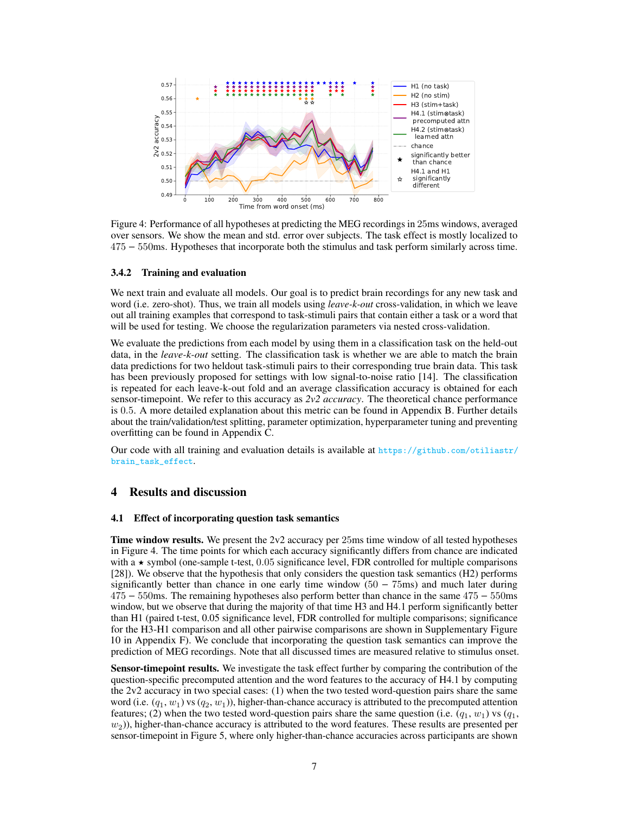<span id="page-6-0"></span>

Figure 4: Performance of all hypotheses at predicting the MEG recordings in 25ms windows, averaged over sensors. We show the mean and std. error over subjects. The task effect is mostly localized to 475 − 550ms. Hypotheses that incorporate both the stimulus and task perform similarly across time.

## 3.4.2 Training and evaluation

We next train and evaluate all models. Our goal is to predict brain recordings for any new task and word (i.e. zero-shot). Thus, we train all models using *leave-k-out* cross-validation, in which we leave out all training examples that correspond to task-stimuli pairs that contain either a task or a word that will be used for testing. We choose the regularization parameters via nested cross-validation.

We evaluate the predictions from each model by using them in a classification task on the held-out data, in the *leave-k-out* setting. The classification task is whether we are able to match the brain data predictions for two heldout task-stimuli pairs to their corresponding true brain data. This task has been previously proposed for settings with low signal-to-noise ratio [\[14\]](#page-10-1). The classification is repeated for each leave-k-out fold and an average classification accuracy is obtained for each sensor-timepoint. We refer to this accuracy as *2v2 accuracy*. The theoretical chance performance is 0.5. A more detailed explanation about this metric can be found in Appendix [B.](#page--1-4) Further details about the train/validation/test splitting, parameter optimization, hyperparameter tuning and preventing overfitting can be found in Appendix [C.](#page--1-5)

Our code with all training and evaluation details is available at [https://github.com/otiliastr/](https://github.com/otiliastr/brain_task_effect) [brain\\_task\\_effect](https://github.com/otiliastr/brain_task_effect).

# 4 Results and discussion

## 4.1 Effect of incorporating question task semantics

Time window results. We present the 2v2 accuracy per 25ms time window of all tested hypotheses in Figure [4.](#page-6-0) The time points for which each accuracy significantly differs from chance are indicated with a  $\star$  symbol (one-sample t-test, 0.05 significance level, FDR controlled for multiple comparisons [\[28\]](#page-10-14)). We observe that the hypothesis that only considers the question task semantics (H2) performs significantly better than chance in one early time window  $(50 - 75)$  and much later during 475 − 550ms. The remaining hypotheses also perform better than chance in the same 475 − 550ms window, but we observe that during the majority of that time H3 and H4.1 perform significantly better than H1 (paired t-test, 0.05 significance level, FDR controlled for multiple comparisons; significance for the H3-H1 comparison and all other pairwise comparisons are shown in Supplementary Figure [10](#page--1-6) in Appendix [F\)](#page--1-7). We conclude that incorporating the question task semantics can improve the prediction of MEG recordings. Note that all discussed times are measured relative to stimulus onset.

**Sensor-timepoint results.** We investigate the task effect further by comparing the contribution of the question-specific precomputed attention and the word features to the accuracy of H4.1 by computing the 2v2 accuracy in two special cases: (1) when the two tested word-question pairs share the same word (i.e.  $(q_1, w_1)$  vs  $(q_2, w_1)$ ), higher-than-chance accuracy is attributed to the precomputed attention features; (2) when the two tested word-question pairs share the same question (i.e.  $(q_1, w_1)$  vs  $(q_1,$  $(w<sub>2</sub>)$ ), higher-than-chance accuracy is attributed to the word features. These results are presented per sensor-timepoint in Figure [5,](#page-7-0) where only higher-than-chance accuracies across participants are shown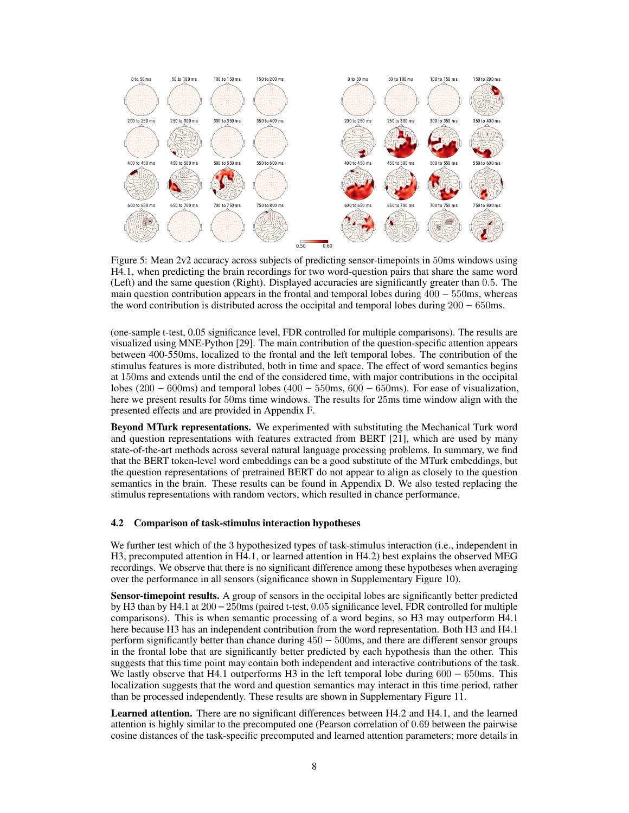<span id="page-7-0"></span>

Figure 5: Mean 2v2 accuracy across subjects of predicting sensor-timepoints in 50ms windows using H4.1, when predicting the brain recordings for two word-question pairs that share the same word (Left) and the same question (Right). Displayed accuracies are significantly greater than 0.5. The main question contribution appears in the frontal and temporal lobes during 400 − 550ms, whereas the word contribution is distributed across the occipital and temporal lobes during 200 − 650ms.

(one-sample t-test, 0.05 significance level, FDR controlled for multiple comparisons). The results are visualized using MNE-Python [\[29\]](#page-10-15). The main contribution of the question-specific attention appears between 400-550ms, localized to the frontal and the left temporal lobes. The contribution of the stimulus features is more distributed, both in time and space. The effect of word semantics begins at 150ms and extends until the end of the considered time, with major contributions in the occipital lobes (200 − 600ms) and temporal lobes (400 − 550ms, 600 − 650ms). For ease of visualization, here we present results for 50ms time windows. The results for 25ms time window align with the presented effects and are provided in Appendix [F.](#page--1-7)

Beyond MTurk representations. We experimented with substituting the Mechanical Turk word and question representations with features extracted from BERT [\[21\]](#page-10-7), which are used by many state-of-the-art methods across several natural language processing problems. In summary, we find that the BERT token-level word embeddings can be a good substitute of the MTurk embeddings, but the question representations of pretrained BERT do not appear to align as closely to the question semantics in the brain. These results can be found in Appendix [D.](#page--1-1) We also tested replacing the stimulus representations with random vectors, which resulted in chance performance.

## 4.2 Comparison of task-stimulus interaction hypotheses

We further test which of the 3 hypothesized types of task-stimulus interaction (i.e., independent in H3, precomputed attention in H4.1, or learned attention in H4.2) best explains the observed MEG recordings. We observe that there is no significant difference among these hypotheses when averaging over the performance in all sensors (significance shown in Supplementary Figure [10\)](#page--1-6).

Sensor-timepoint results. A group of sensors in the occipital lobes are significantly better predicted by H3 than by H4.1 at 200−250ms (paired t-test, 0.05 significance level, FDR controlled for multiple comparisons). This is when semantic processing of a word begins, so H3 may outperform H4.1 here because H3 has an independent contribution from the word representation. Both H3 and H4.1 perform significantly better than chance during 450 − 500ms, and there are different sensor groups in the frontal lobe that are significantly better predicted by each hypothesis than the other. This suggests that this time point may contain both independent and interactive contributions of the task. We lastly observe that H4.1 outperforms H3 in the left temporal lobe during 600 − 650ms. This localization suggests that the word and question semantics may interact in this time period, rather than be processed independently. These results are shown in Supplementary Figure [11.](#page--1-8)

Learned attention. There are no significant differences between H4.2 and H4.1, and the learned attention is highly similar to the precomputed one (Pearson correlation of 0.69 between the pairwise cosine distances of the task-specific precomputed and learned attention parameters; more details in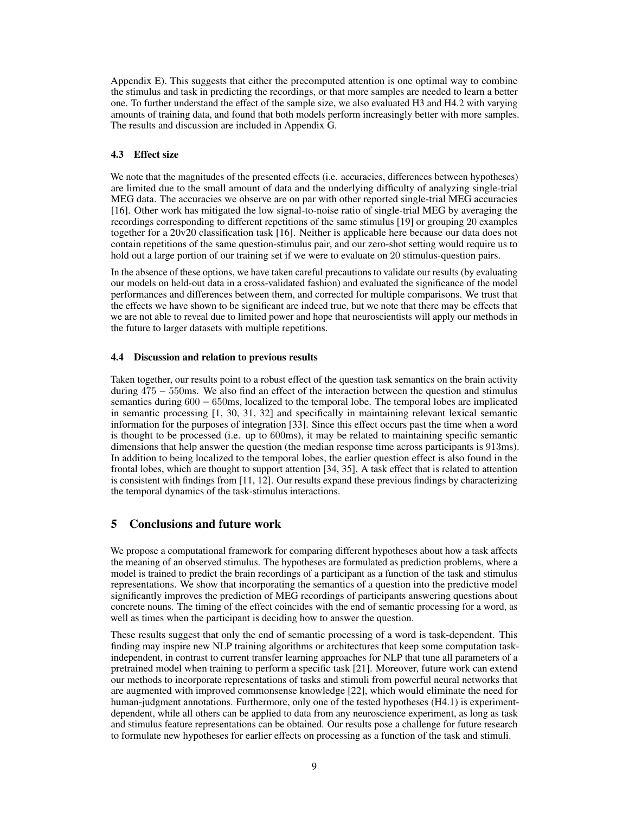Appendix [E\)](#page--1-3). This suggests that either the precomputed attention is one optimal way to combine the stimulus and task in predicting the recordings, or that more samples are needed to learn a better one. To further understand the effect of the sample size, we also evaluated H3 and H4.2 with varying amounts of training data, and found that both models perform increasingly better with more samples. The results and discussion are included in Appendix [G.](#page--1-9)

## 4.3 Effect size

We note that the magnitudes of the presented effects (i.e. accuracies, differences between hypotheses) are limited due to the small amount of data and the underlying difficulty of analyzing single-trial MEG data. The accuracies we observe are on par with other reported single-trial MEG accuracies [\[16\]](#page-10-3). Other work has mitigated the low signal-to-noise ratio of single-trial MEG by averaging the recordings corresponding to different repetitions of the same stimulus [\[19\]](#page-10-0) or grouping 20 examples together for a 20v20 classification task [\[16\]](#page-10-3). Neither is applicable here because our data does not contain repetitions of the same question-stimulus pair, and our zero-shot setting would require us to hold out a large portion of our training set if we were to evaluate on 20 stimulus-question pairs.

In the absence of these options, we have taken careful precautions to validate our results (by evaluating our models on held-out data in a cross-validated fashion) and evaluated the significance of the model performances and differences between them, and corrected for multiple comparisons. We trust that the effects we have shown to be significant are indeed true, but we note that there may be effects that we are not able to reveal due to limited power and hope that neuroscientists will apply our methods in the future to larger datasets with multiple repetitions.

## 4.4 Discussion and relation to previous results

Taken together, our results point to a robust effect of the question task semantics on the brain activity during 475 − 550ms. We also find an effect of the interaction between the question and stimulus semantics during 600 − 650ms, localized to the temporal lobe. The temporal lobes are implicated in semantic processing [\[1,](#page-9-0) [30,](#page-10-16) [31,](#page-10-17) [32\]](#page-10-18) and specifically in maintaining relevant lexical semantic information for the purposes of integration [\[33\]](#page-11-0). Since this effect occurs past the time when a word is thought to be processed (i.e. up to 600ms), it may be related to maintaining specific semantic dimensions that help answer the question (the median response time across participants is 913ms). In addition to being localized to the temporal lobes, the earlier question effect is also found in the frontal lobes, which are thought to support attention [\[34,](#page-11-1) [35\]](#page-11-2). A task effect that is related to attention is consistent with findings from [\[11,](#page-9-10) [12\]](#page-9-11). Our results expand these previous findings by characterizing the temporal dynamics of the task-stimulus interactions.

# 5 Conclusions and future work

We propose a computational framework for comparing different hypotheses about how a task affects the meaning of an observed stimulus. The hypotheses are formulated as prediction problems, where a model is trained to predict the brain recordings of a participant as a function of the task and stimulus representations. We show that incorporating the semantics of a question into the predictive model significantly improves the prediction of MEG recordings of participants answering questions about concrete nouns. The timing of the effect coincides with the end of semantic processing for a word, as well as times when the participant is deciding how to answer the question.

These results suggest that only the end of semantic processing of a word is task-dependent. This finding may inspire new NLP training algorithms or architectures that keep some computation taskindependent, in contrast to current transfer learning approaches for NLP that tune all parameters of a pretrained model when training to perform a specific task [\[21\]](#page-10-7). Moreover, future work can extend our methods to incorporate representations of tasks and stimuli from powerful neural networks that are augmented with improved commonsense knowledge [\[22\]](#page-10-8), which would eliminate the need for human-judgment annotations. Furthermore, only one of the tested hypotheses (H4.1) is experimentdependent, while all others can be applied to data from any neuroscience experiment, as long as task and stimulus feature representations can be obtained. Our results pose a challenge for future research to formulate new hypotheses for earlier effects on processing as a function of the task and stimuli.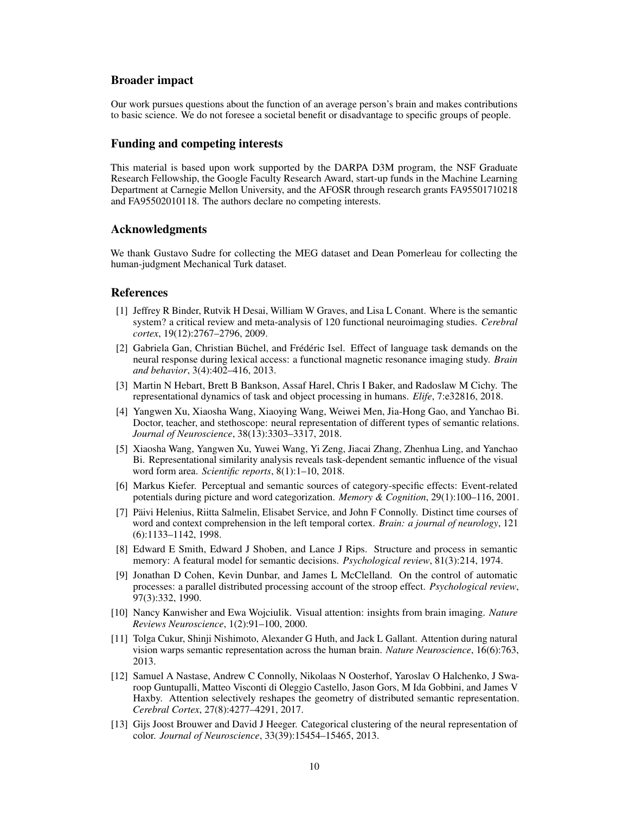## Broader impact

Our work pursues questions about the function of an average person's brain and makes contributions to basic science. We do not foresee a societal benefit or disadvantage to specific groups of people.

## Funding and competing interests

This material is based upon work supported by the DARPA D3M program, the NSF Graduate Research Fellowship, the Google Faculty Research Award, start-up funds in the Machine Learning Department at Carnegie Mellon University, and the AFOSR through research grants FA95501710218 and FA95502010118. The authors declare no competing interests.

# Acknowledgments

We thank Gustavo Sudre for collecting the MEG dataset and Dean Pomerleau for collecting the human-judgment Mechanical Turk dataset.

# References

- <span id="page-9-0"></span>[1] Jeffrey R Binder, Rutvik H Desai, William W Graves, and Lisa L Conant. Where is the semantic system? a critical review and meta-analysis of 120 functional neuroimaging studies. *Cerebral cortex*, 19(12):2767–2796, 2009.
- <span id="page-9-1"></span>[2] Gabriela Gan, Christian Büchel, and Frédéric Isel. Effect of language task demands on the neural response during lexical access: a functional magnetic resonance imaging study. *Brain and behavior*, 3(4):402–416, 2013.
- <span id="page-9-2"></span>[3] Martin N Hebart, Brett B Bankson, Assaf Harel, Chris I Baker, and Radoslaw M Cichy. The representational dynamics of task and object processing in humans. *Elife*, 7:e32816, 2018.
- <span id="page-9-3"></span>[4] Yangwen Xu, Xiaosha Wang, Xiaoying Wang, Weiwei Men, Jia-Hong Gao, and Yanchao Bi. Doctor, teacher, and stethoscope: neural representation of different types of semantic relations. *Journal of Neuroscience*, 38(13):3303–3317, 2018.
- <span id="page-9-4"></span>[5] Xiaosha Wang, Yangwen Xu, Yuwei Wang, Yi Zeng, Jiacai Zhang, Zhenhua Ling, and Yanchao Bi. Representational similarity analysis reveals task-dependent semantic influence of the visual word form area. *Scientific reports*, 8(1):1–10, 2018.
- <span id="page-9-5"></span>[6] Markus Kiefer. Perceptual and semantic sources of category-specific effects: Event-related potentials during picture and word categorization. *Memory & Cognition*, 29(1):100–116, 2001.
- <span id="page-9-6"></span>[7] Päivi Helenius, Riitta Salmelin, Elisabet Service, and John F Connolly. Distinct time courses of word and context comprehension in the left temporal cortex. *Brain: a journal of neurology*, 121 (6):1133–1142, 1998.
- <span id="page-9-7"></span>[8] Edward E Smith, Edward J Shoben, and Lance J Rips. Structure and process in semantic memory: A featural model for semantic decisions. *Psychological review*, 81(3):214, 1974.
- <span id="page-9-8"></span>[9] Jonathan D Cohen, Kevin Dunbar, and James L McClelland. On the control of automatic processes: a parallel distributed processing account of the stroop effect. *Psychological review*, 97(3):332, 1990.
- <span id="page-9-9"></span>[10] Nancy Kanwisher and Ewa Wojciulik. Visual attention: insights from brain imaging. *Nature Reviews Neuroscience*, 1(2):91–100, 2000.
- <span id="page-9-10"></span>[11] Tolga Cukur, Shinji Nishimoto, Alexander G Huth, and Jack L Gallant. Attention during natural vision warps semantic representation across the human brain. *Nature Neuroscience*, 16(6):763, 2013.
- <span id="page-9-11"></span>[12] Samuel A Nastase, Andrew C Connolly, Nikolaas N Oosterhof, Yaroslav O Halchenko, J Swaroop Guntupalli, Matteo Visconti di Oleggio Castello, Jason Gors, M Ida Gobbini, and James V Haxby. Attention selectively reshapes the geometry of distributed semantic representation. *Cerebral Cortex*, 27(8):4277–4291, 2017.
- <span id="page-9-12"></span>[13] Gijs Joost Brouwer and David J Heeger. Categorical clustering of the neural representation of color. *Journal of Neuroscience*, 33(39):15454–15465, 2013.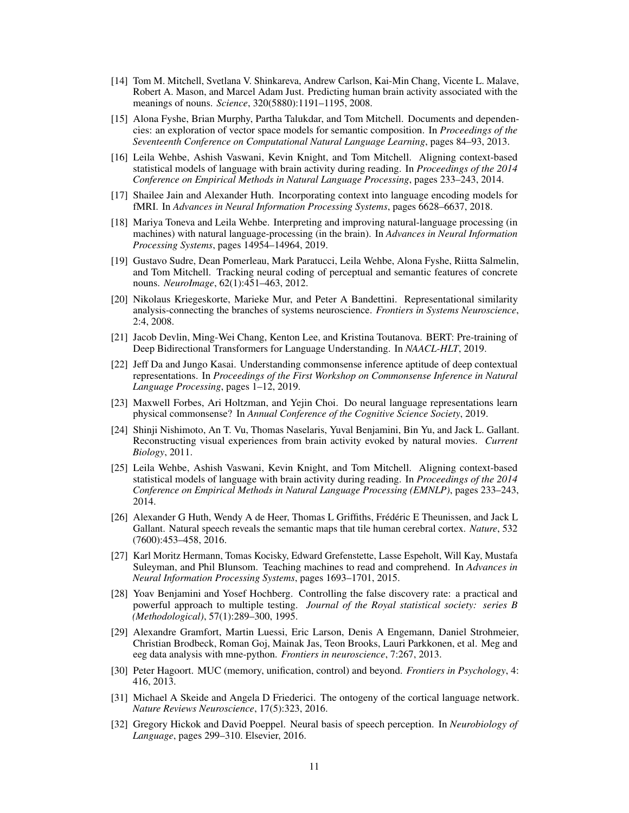- <span id="page-10-1"></span>[14] Tom M. Mitchell, Svetlana V. Shinkareva, Andrew Carlson, Kai-Min Chang, Vicente L. Malave, Robert A. Mason, and Marcel Adam Just. Predicting human brain activity associated with the meanings of nouns. *Science*, 320(5880):1191–1195, 2008.
- <span id="page-10-2"></span>[15] Alona Fyshe, Brian Murphy, Partha Talukdar, and Tom Mitchell. Documents and dependencies: an exploration of vector space models for semantic composition. In *Proceedings of the Seventeenth Conference on Computational Natural Language Learning*, pages 84–93, 2013.
- <span id="page-10-3"></span>[16] Leila Wehbe, Ashish Vaswani, Kevin Knight, and Tom Mitchell. Aligning context-based statistical models of language with brain activity during reading. In *Proceedings of the 2014 Conference on Empirical Methods in Natural Language Processing*, pages 233–243, 2014.
- <span id="page-10-4"></span>[17] Shailee Jain and Alexander Huth. Incorporating context into language encoding models for fMRI. In *Advances in Neural Information Processing Systems*, pages 6628–6637, 2018.
- <span id="page-10-5"></span>[18] Mariya Toneva and Leila Wehbe. Interpreting and improving natural-language processing (in machines) with natural language-processing (in the brain). In *Advances in Neural Information Processing Systems*, pages 14954–14964, 2019.
- <span id="page-10-0"></span>[19] Gustavo Sudre, Dean Pomerleau, Mark Paratucci, Leila Wehbe, Alona Fyshe, Riitta Salmelin, and Tom Mitchell. Tracking neural coding of perceptual and semantic features of concrete nouns. *NeuroImage*, 62(1):451–463, 2012.
- <span id="page-10-6"></span>[20] Nikolaus Kriegeskorte, Marieke Mur, and Peter A Bandettini. Representational similarity analysis-connecting the branches of systems neuroscience. *Frontiers in Systems Neuroscience*, 2:4, 2008.
- <span id="page-10-7"></span>[21] Jacob Devlin, Ming-Wei Chang, Kenton Lee, and Kristina Toutanova. BERT: Pre-training of Deep Bidirectional Transformers for Language Understanding. In *NAACL-HLT*, 2019.
- <span id="page-10-8"></span>[22] Jeff Da and Jungo Kasai. Understanding commonsense inference aptitude of deep contextual representations. In *Proceedings of the First Workshop on Commonsense Inference in Natural Language Processing*, pages 1–12, 2019.
- <span id="page-10-9"></span>[23] Maxwell Forbes, Ari Holtzman, and Yejin Choi. Do neural language representations learn physical commonsense? In *Annual Conference of the Cognitive Science Society*, 2019.
- <span id="page-10-10"></span>[24] Shinji Nishimoto, An T. Vu, Thomas Naselaris, Yuval Benjamini, Bin Yu, and Jack L. Gallant. Reconstructing visual experiences from brain activity evoked by natural movies. *Current Biology*, 2011.
- <span id="page-10-11"></span>[25] Leila Wehbe, Ashish Vaswani, Kevin Knight, and Tom Mitchell. Aligning context-based statistical models of language with brain activity during reading. In *Proceedings of the 2014 Conference on Empirical Methods in Natural Language Processing (EMNLP)*, pages 233–243, 2014.
- <span id="page-10-12"></span>[26] Alexander G Huth, Wendy A de Heer, Thomas L Griffiths, Frédéric E Theunissen, and Jack L Gallant. Natural speech reveals the semantic maps that tile human cerebral cortex. *Nature*, 532 (7600):453–458, 2016.
- <span id="page-10-13"></span>[27] Karl Moritz Hermann, Tomas Kocisky, Edward Grefenstette, Lasse Espeholt, Will Kay, Mustafa Suleyman, and Phil Blunsom. Teaching machines to read and comprehend. In *Advances in Neural Information Processing Systems*, pages 1693–1701, 2015.
- <span id="page-10-14"></span>[28] Yoav Benjamini and Yosef Hochberg. Controlling the false discovery rate: a practical and powerful approach to multiple testing. *Journal of the Royal statistical society: series B (Methodological)*, 57(1):289–300, 1995.
- <span id="page-10-15"></span>[29] Alexandre Gramfort, Martin Luessi, Eric Larson, Denis A Engemann, Daniel Strohmeier, Christian Brodbeck, Roman Goj, Mainak Jas, Teon Brooks, Lauri Parkkonen, et al. Meg and eeg data analysis with mne-python. *Frontiers in neuroscience*, 7:267, 2013.
- <span id="page-10-16"></span>[30] Peter Hagoort. MUC (memory, unification, control) and beyond. *Frontiers in Psychology*, 4: 416, 2013.
- <span id="page-10-17"></span>[31] Michael A Skeide and Angela D Friederici. The ontogeny of the cortical language network. *Nature Reviews Neuroscience*, 17(5):323, 2016.
- <span id="page-10-18"></span>[32] Gregory Hickok and David Poeppel. Neural basis of speech perception. In *Neurobiology of Language*, pages 299–310. Elsevier, 2016.